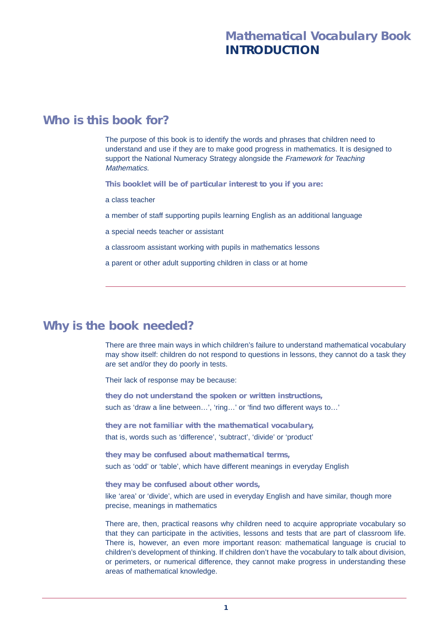# **Mathematical Vocabulary Book INTRODUCTION**

### **Who is this book for?**

The purpose of this book is to identify the words and phrases that children need to understand and use if they are to make good progress in mathematics. It is designed to support the National Numeracy Strategy alongside the Framework for Teaching Mathematics.

**This booklet will be of particular interest to you if you are:**

- a class teacher
- a member of staff supporting pupils learning English as an additional language
- a special needs teacher or assistant
- a classroom assistant working with pupils in mathematics lessons
- a parent or other adult supporting children in class or at home

### **Why is the book needed?**

There are three main ways in which children's failure to understand mathematical vocabulary may show itself: children do not respond to questions in lessons, they cannot do a task they are set and/or they do poorly in tests.

Their lack of response may be because:

**they do not understand the spoken or written instructions,**  such as 'draw a line between…', 'ring…' or 'find two different ways to…'

**they are not familiar with the mathematical vocabulary,**  that is, words such as 'difference', 'subtract', 'divide' or 'product'

**they may be confused about mathematical terms,**  such as 'odd' or 'table', which have different meanings in everyday English

**they may be confused about other words,**

like 'area' or 'divide', which are used in everyday English and have similar, though more precise, meanings in mathematics

There are, then, practical reasons why children need to acquire appropriate vocabulary so that they can participate in the activities, lessons and tests that are part of classroom life. There is, however, an even more important reason: mathematical language is crucial to children's development of thinking. If children don't have the vocabulary to talk about division, or perimeters, or numerical difference, they cannot make progress in understanding these areas of mathematical knowledge.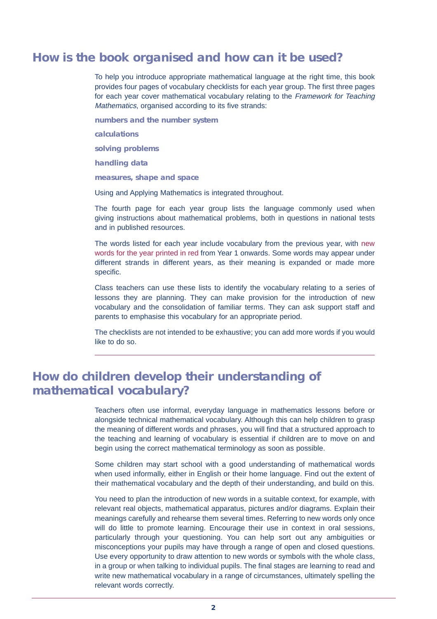### **How is the book organised and how can it be used?**

To help you introduce appropriate mathematical language at the right time, this book provides four pages of vocabulary checklists for each year group. The first three pages for each year cover mathematical vocabulary relating to the Framework for Teaching Mathematics, organised according to its five strands:

**numbers and the number system**

**calculations** 

**solving problems**

**handling data**

**measures, shape and space**

Using and Applying Mathematics is integrated throughout.

The fourth page for each year group lists the language commonly used when giving instructions about mathematical problems, both in questions in national tests and in published resources.

The words listed for each year include vocabulary from the previous year, with new words for the year printed in red from Year 1 onwards. Some words may appear under different strands in different years, as their meaning is expanded or made more specific.

Class teachers can use these lists to identify the vocabulary relating to a series of lessons they are planning. They can make provision for the introduction of new vocabulary and the consolidation of familiar terms. They can ask support staff and parents to emphasise this vocabulary for an appropriate period.

The checklists are not intended to be exhaustive; you can add more words if you would like to do so.

# **How do children develop their understanding of mathematical vocabulary?**

Teachers often use informal, everyday language in mathematics lessons before or alongside technical mathematical vocabulary. Although this can help children to grasp the meaning of different words and phrases, you will find that a structured approach to the teaching and learning of vocabulary is essential if children are to move on and begin using the correct mathematical terminology as soon as possible.

Some children may start school with a good understanding of mathematical words when used informally, either in English or their home language. Find out the extent of their mathematical vocabulary and the depth of their understanding, and build on this.

You need to plan the introduction of new words in a suitable context, for example, with relevant real objects, mathematical apparatus, pictures and/or diagrams. Explain their meanings carefully and rehearse them several times. Referring to new words only once will do little to promote learning. Encourage their use in context in oral sessions, particularly through your questioning. You can help sort out any ambiguities or misconceptions your pupils may have through a range of open and closed questions. Use every opportunity to draw attention to new words or symbols with the whole class, in a group or when talking to individual pupils. The final stages are learning to read and write new mathematical vocabulary in a range of circumstances, ultimately spelling the relevant words correctly.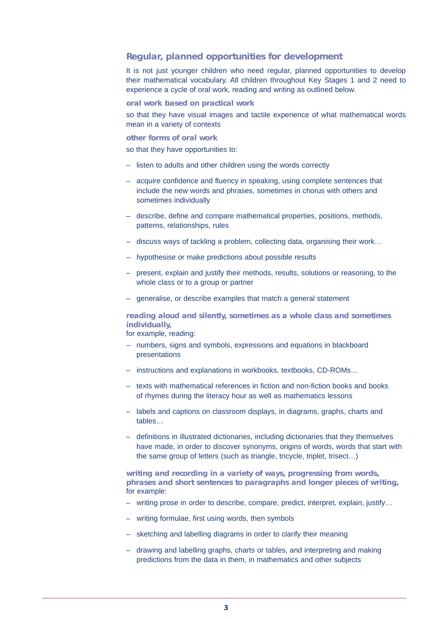#### **Regular, planned opportunities for development**

It is not just younger children who need regular, planned opportunities to develop their mathematical vocabulary. All children throughout Key Stages 1 and 2 need to experience a cycle of oral work, reading and writing as outlined below.

#### **oral work based on practical work**

so that they have visual images and tactile experience of what mathematical words mean in a variety of contexts

#### **other forms of oral work**

so that they have opportunities to:

- listen to adults and other children using the words correctly
- acquire confidence and fluency in speaking, using complete sentences that include the new words and phrases, sometimes in chorus with others and sometimes individually
- describe, define and compare mathematical properties, positions, methods, patterns, relationships, rules
- discuss ways of tackling a problem, collecting data, organising their work…
- hypothesise or make predictions about possible results
- present, explain and justify their methods, results, solutions or reasoning, to the whole class or to a group or partner
- generalise, or describe examples that match a general statement

#### **reading aloud and silently, sometimes as a whole class and sometimes individually,**

for example, reading:

- numbers, signs and symbols, expressions and equations in blackboard presentations
- instructions and explanations in workbooks, textbooks, CD-ROMs…
- texts with mathematical references in fiction and non-fiction books and books of rhymes during the literacy hour as well as mathematics lessons
- labels and captions on classroom displays, in diagrams, graphs, charts and tables…
- definitions in illustrated dictionaries, including dictionaries that they themselves have made, in order to discover synonyms, origins of words, words that start with the same group of letters (such as triangle, tricycle, triplet, trisect…)

**writing and recording in a variety of ways, progressing from words, phrases and short sentences to paragraphs and longer pieces of writing,** for example:

- writing prose in order to describe, compare, predict, interpret, explain, justify…
- writing formulae, first using words, then symbols
- sketching and labelling diagrams in order to clarify their meaning
- drawing and labelling graphs, charts or tables, and interpreting and making predictions from the data in them, in mathematics and other subjects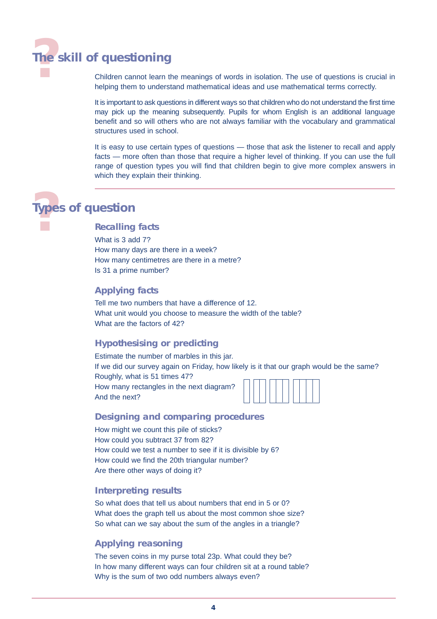# **The s The skill of questioning**

Children cannot learn the meanings of words in isolation. The use of questions is crucial in helping them to understand mathematical ideas and use mathematical terms correctly.

It is important to ask questions in different ways so that children who do not understand the first time may pick up the meaning subsequently. Pupils for whom English is an additional language benefit and so will others who are not always familiar with the vocabulary and grammatical structures used in school.

It is easy to use certain types of questions — those that ask the listener to recall and apply facts — more often than those that require a higher level of thinking. If you can use the full range of question types you will find that children begin to give more complex answers in which they explain their thinking.

# **Types Types of question**

#### **Recalling facts**

What is 3 add 7? How many days are there in a week? How many centimetres are there in a metre? Is 31 a prime number?

#### **Applying facts**

Tell me two numbers that have a difference of 12. What unit would you choose to measure the width of the table? What are the factors of 42?

#### **Hypothesising or predicting**

Estimate the number of marbles in this jar. If we did our survey again on Friday, how likely is it that our graph would be the same? Roughly, what is 51 times 47? How many rectangles in the next diagram? And the next?

#### **Designing and comparing procedures**

How might we count this pile of sticks? How could you subtract 37 from 82? How could we test a number to see if it is divisible by 6? How could we find the 20th triangular number? Are there other ways of doing it?

#### **Interpreting results**

So what does that tell us about numbers that end in 5 or 0? What does the graph tell us about the most common shoe size? So what can we say about the sum of the angles in a triangle?

#### **Applying reasoning**

The seven coins in my purse total 23p. What could they be? In how many different ways can four children sit at a round table? Why is the sum of two odd numbers always even?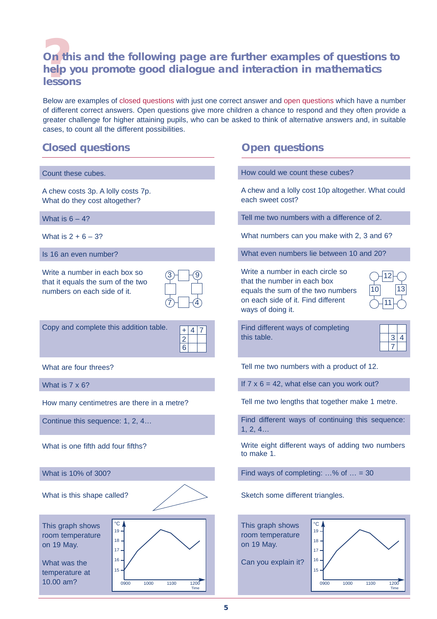# **On thi**<br>help y<br>lesson **On this and the following page are further examples of questions to help you promote good dialogue and interaction in mathematics lessons**

Below are examples of closed questions with just one correct answer and open questions which have a number of different correct answers. Open questions give more children a chance to respond and they often provide a greater challenge for higher attaining pupils, who can be asked to think of alternative answers and, in suitable cases, to count all the different possibilities.

### **Closed questions Open questions**

#### Count these cubes.

A chew costs 3p. A lolly costs 7p. What do they cost altogether?

What is  $6 - 4$ ?

What is  $2 + 6 - 3$ ?

Is 16 an even number?

Write a number in each box so that it equals the sum of the two numbers on each side of it.

Copy and complete this addition table.

|   | , |  |
|---|---|--|
| ╱ |   |  |
| ö |   |  |

What are four threes?

What is 7 x 6?

How many centimetres are there in a metre?

Continue this sequence: 1, 2, 4…

What is one fifth add four fifths?

What is 10% of 300?

What is this shape called?



Time



How could we count these cubes?

A chew and a lolly cost 10p altogether. What could each sweet cost?

Tell me two numbers with a difference of 2.

What numbers can you make with 2, 3 and 6?

What even numbers lie between 10 and 20?

Write a number in each circle so that the number in each box equals the sum of the two numbers on each side of it. Find different ways of doing it.



Find different ways of completing this table.

Tell me two numbers with a product of 12.

If  $7 \times 6 = 42$ , what else can you work out?

Tell me two lengths that together make 1 metre.

Find different ways of continuing this sequence: 1, 2, 4…

Write eight different ways of adding two numbers to make 1.

Find ways of completing:  $\ldots\%$  of  $\ldots = 30$ 

Sketch some different triangles.

This graph shows room temperature on 19 May. Can you explain it? 0900 1000 1100 1200 19 18  $17 -$ 16 15 °C Time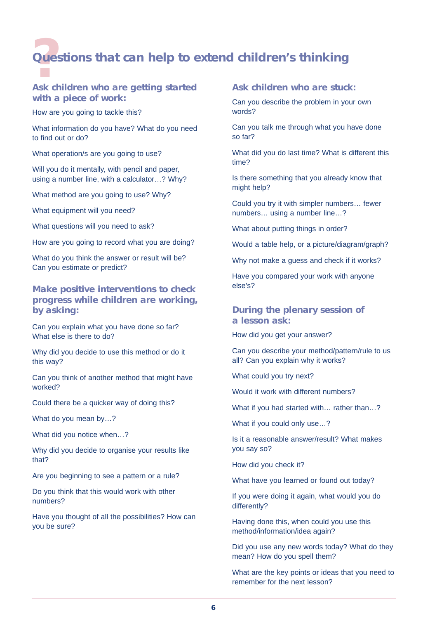# **Ques**<br>**8**<br>Ask chi **Questions that can help to extend children's thinking**

**Ask children who are getting started with a piece of work:**

How are you going to tackle this?

What information do you have? What do you need to find out or do?

What operation/s are you going to use?

Will you do it mentally, with pencil and paper, using a number line, with a calculator…? Why?

What method are you going to use? Why?

What equipment will you need?

What questions will you need to ask?

How are you going to record what you are doing?

What do you think the answer or result will be? Can you estimate or predict?

**Make positive interventions to check progress while children are working, by asking:**

Can you explain what you have done so far? What else is there to do?

Why did you decide to use this method or do it this way?

Can you think of another method that might have worked?

Could there be a quicker way of doing this?

What do you mean by…?

What did you notice when…?

Why did you decide to organise your results like that?

Are you beginning to see a pattern or a rule?

Do you think that this would work with other numbers?

Have you thought of all the possibilities? How can you be sure?

#### **Ask children who are stuck:**

Can you describe the problem in your own words?

Can you talk me through what you have done so far?

What did you do last time? What is different this time?

Is there something that you already know that might help?

Could you try it with simpler numbers… fewer numbers… using a number line…?

What about putting things in order?

Would a table help, or a picture/diagram/graph?

Why not make a guess and check if it works?

Have you compared your work with anyone else's?

#### **During the plenary session of a lesson ask:**

How did you get your answer?

Can you describe your method/pattern/rule to us all? Can you explain why it works?

What could you try next?

Would it work with different numbers?

What if you had started with... rather than...?

What if you could only use...?

Is it a reasonable answer/result? What makes you say so?

How did you check it?

What have you learned or found out today?

If you were doing it again, what would you do differently?

Having done this, when could you use this method/information/idea again?

Did you use any new words today? What do they mean? How do you spell them?

What are the key points or ideas that you need to remember for the next lesson?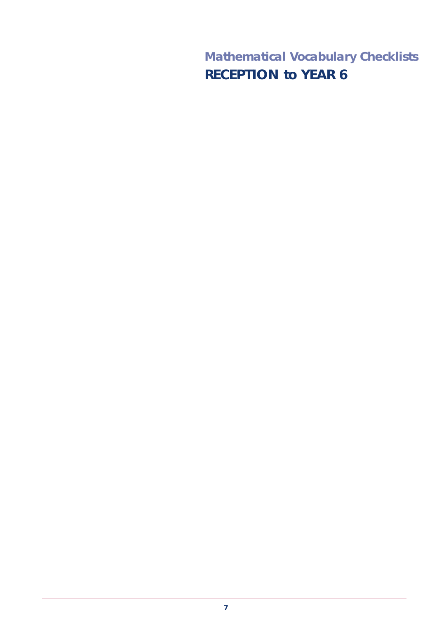**Mathematical Vocabulary Checklists RECEPTION to YEAR 6**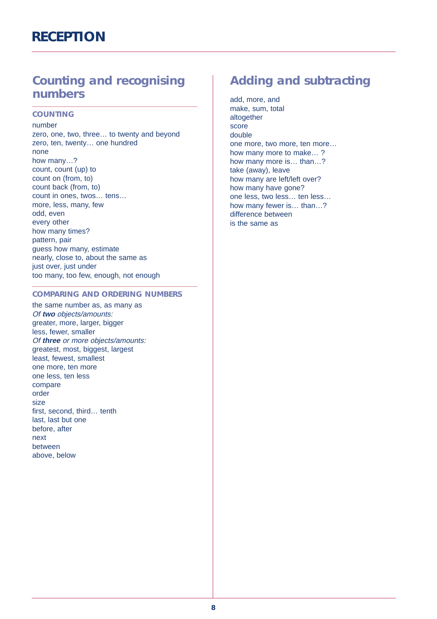### **Counting and recognising numbers**

#### **COUNTING**

#### number

zero, one, two, three… to twenty and beyond zero, ten, twenty… one hundred none how many…? count, count (up) to count on (from, to) count back (from, to) count in ones, twos… tens… more, less, many, few odd, even every other how many times? pattern, pair guess how many, estimate nearly, close to, about the same as just over, just under too many, too few, enough, not enough

#### **COMPARING AND ORDERING NUMBERS**

the same number as, as many as Of **two** objects/amounts: greater, more, larger, bigger less, fewer, smaller Of **three** or more objects/amounts: greatest, most, biggest, largest least, fewest, smallest one more, ten more one less, ten less compare order size first, second, third… tenth last, last but one before, after next between above, below

# **Adding and subtracting**

add, more, and make, sum, total altogether score double one more, two more, ten more… how many more to make… ? how many more is… than…? take (away), leave how many are left/left over? how many have gone? one less, two less… ten less… how many fewer is… than…? difference between is the same as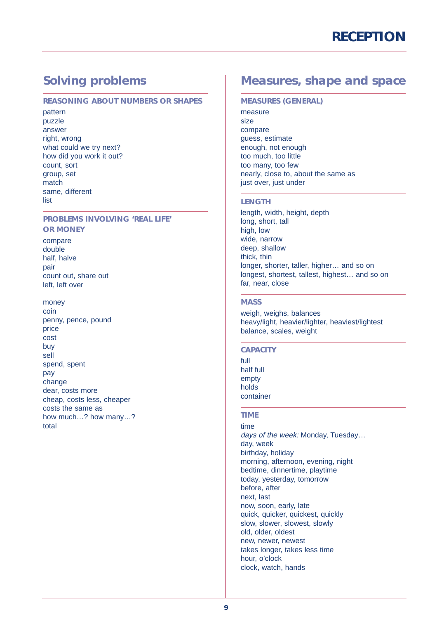# **Solving problems**

#### **REASONING ABOUT NUMBERS OR SHAPES**

pattern puzzle answer right, wrong what could we try next? how did you work it out? count, sort group, set match same, different list

#### **PROBLEMS INVOLVING 'REAL LIFE' OR MONEY**

compare double half, halve pair count out, share out left, left over

money coin penny, pence, pound price cost buy sell spend, spent pay change dear, costs more cheap, costs less, cheaper costs the same as how much…? how many…? total

### **Measures, shape and space**

### **MEASURES (GENERAL)**

measure size compare guess, estimate enough, not enough too much, too little too many, too few nearly, close to, about the same as just over, just under

#### **LENGTH**

length, width, height, depth long, short, tall high, low wide, narrow deep, shallow thick, thin longer, shorter, taller, higher… and so on longest, shortest, tallest, highest… and so on far, near, close

#### **MASS**

weigh, weighs, balances heavy/light, heavier/lighter, heaviest/lightest balance, scales, weight

#### **CAPACITY**

full half full empty holds container

#### **TIME**

time days of the week: Monday, Tuesday... day, week birthday, holiday morning, afternoon, evening, night bedtime, dinnertime, playtime today, yesterday, tomorrow before, after next, last now, soon, early, late quick, quicker, quickest, quickly slow, slower, slowest, slowly old, older, oldest new, newer, newest takes longer, takes less time hour, o'clock clock, watch, hands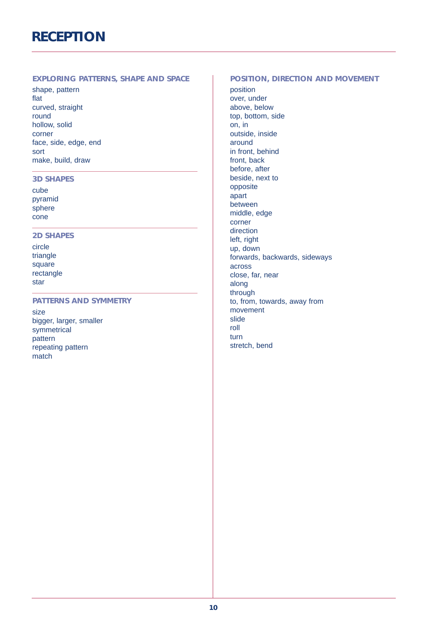#### **EXPLORING PATTERNS, SHAPE AND SPACE**

shape, pattern flat curved, straight round hollow, solid corner face, side, edge, end sort make, build, draw

#### **3D SHAPES**

cube pyramid sphere cone

#### **2D SHAPES**

circle triangle square rectangle star

#### **PATTERNS AND SYMMETRY**

size bigger, larger, smaller symmetrical pattern repeating pattern match

#### **POSITION, DIRECTION AND MOVEMENT**

position over, under above, below top, bottom, side on, in outside, inside around in front, behind front, back before, after beside, next to opposite apart between middle, edge corner direction left, right up, down forwards, backwards, sideways across close, far, near along through to, from, towards, away from movement slide roll turn stretch, bend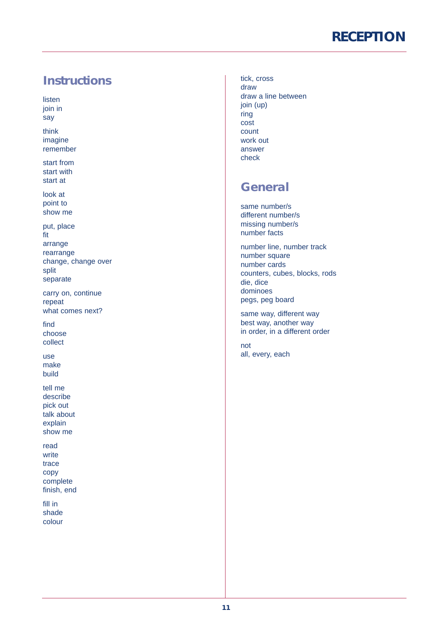# **RECEPTION**

# **Instructions**

listen join in say

think imagine remember

start from start with start at

look at point to show me

put, place fit arrange rearrange change, change over split separate

carry on, continue repeat what comes next?

find choose collect

use make build

tell me describe pick out talk about explain show me

read write trace copy complete finish, end

fill in shade colour tick, cross draw draw a line between join (up) ring cost count work out answer check

### **General**

same number/s different number/s missing number/s number facts

number line, number track number square number cards counters, cubes, blocks, rods die, dice dominoes pegs, peg board

same way, different way best way, another way in order, in a different order

not all, every, each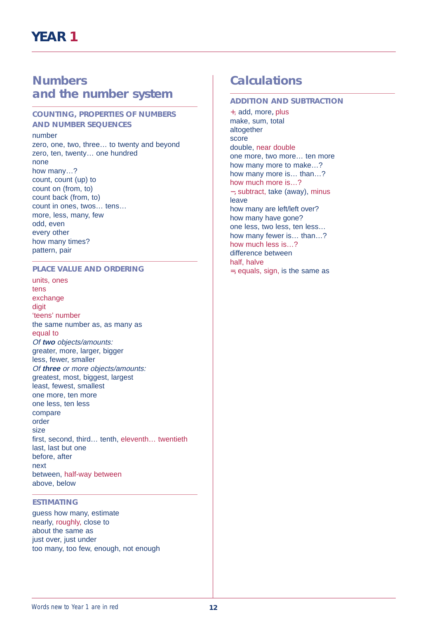### **Numbers and the number system**

#### **COUNTING, PROPERTIES OF NUMBERS AND NUMBER SEQUENCES**

#### number

zero, one, two, three… to twenty and beyond zero, ten, twenty… one hundred none how many…? count, count (up) to count on (from, to) count back (from, to) count in ones, twos… tens… more, less, many, few odd, even every other how many times? pattern, pair

#### **PLACE VALUE AND ORDERING**

units, ones tens exchange digit 'teens' number the same number as, as many as equal to Of **two** objects/amounts: greater, more, larger, bigger less, fewer, smaller Of **three** or more objects/amounts: greatest, most, biggest, largest least, fewest, smallest one more, ten more one less, ten less compare order size first, second, third… tenth, eleventh… twentieth last, last but one before, after next between, half-way between above, below

#### **ESTIMATING**

guess how many, estimate nearly, roughly, close to about the same as just over, just under too many, too few, enough, not enough

### **Calculations**

#### **ADDITION AND SUBTRACTION**

+, add, more, plus make, sum, total altogether score double, near double one more, two more… ten more how many more to make…? how many more is… than…? how much more is…? −, subtract, take (away), minus leave how many are left/left over? how many have gone? one less, two less, ten less… how many fewer is… than…? how much less is…? difference between half, halve =, equals, sign, is the same as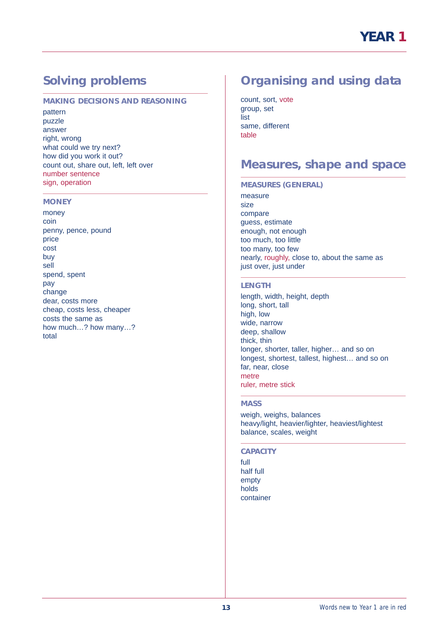# **Solving problems**

#### **MAKING DECISIONS AND REASONING**

pattern puzzle answer right, wrong what could we try next? how did you work it out? count out, share out, left, left over number sentence sign, operation

#### **MONEY**

money coin penny, pence, pound price cost buy sell spend, spent pay change dear, costs more cheap, costs less, cheaper costs the same as how much…? how many…? total

# **Organising and using data**

count, sort, vote group, set list same, different table

### **Measures, shape and space**

#### **MEASURES (GENERAL)**

measure size compare guess, estimate enough, not enough too much, too little too many, too few nearly, roughly, close to, about the same as just over, just under

#### **LENGTH**

length, width, height, depth long, short, tall high, low wide, narrow deep, shallow thick, thin longer, shorter, taller, higher… and so on longest, shortest, tallest, highest… and so on far, near, close metre ruler, metre stick

#### **MASS**

weigh, weighs, balances heavy/light, heavier/lighter, heaviest/lightest balance, scales, weight

#### **CAPACITY**

full half full empty holds container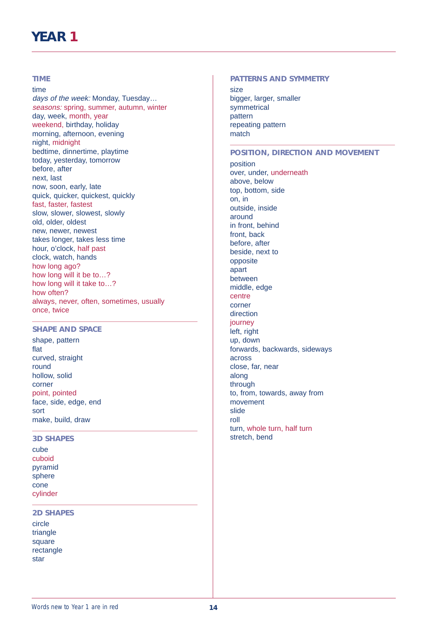#### **TIME**

time days of the week: Monday, Tuesday... seasons: spring, summer, autumn, winter day, week, month, year weekend, birthday, holiday morning, afternoon, evening night, midnight bedtime, dinnertime, playtime today, yesterday, tomorrow before, after next, last now, soon, early, late quick, quicker, quickest, quickly fast, faster, fastest slow, slower, slowest, slowly old, older, oldest new, newer, newest takes longer, takes less time hour, o'clock, half past clock, watch, hands how long ago? how long will it be to…? how long will it take to…? how often? always, never, often, sometimes, usually once, twice

#### **SHAPE AND SPACE**

shape, pattern flat curved, straight round hollow, solid corner point, pointed face, side, edge, end sort make, build, draw

#### **3D SHAPES**

cube cuboid pyramid sphere cone cylinder

#### **2D SHAPES**

circle triangle square rectangle star

#### **PATTERNS AND SYMMETRY**

size bigger, larger, smaller symmetrical pattern repeating pattern match

#### **POSITION, DIRECTION AND MOVEMENT**

position over, under, underneath above, below top, bottom, side on, in outside, inside around in front, behind front, back before, after beside, next to opposite apart between middle, edge centre corner direction journey left, right up, down forwards, backwards, sideways across close, far, near along through to, from, towards, away from movement slide roll turn, whole turn, half turn stretch, bend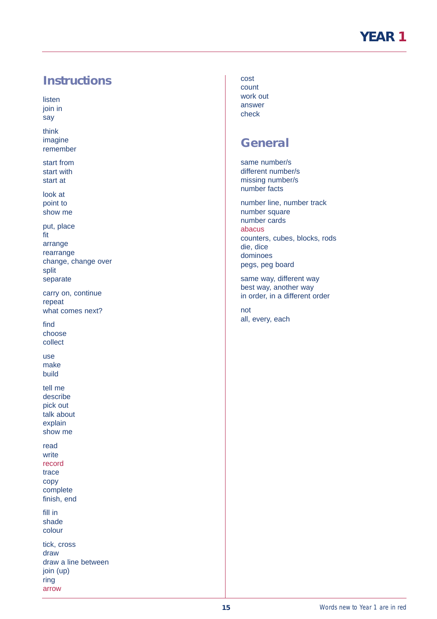# **Instructions**

listen

join in say think imagine remember start from start with start at look at point to show me put, place fit

arrange rearrange change, change over split separate

carry on, continue repeat what comes next?

find choose collect

use make build

tell me describe pick out talk about explain show me

read write record trace copy complete finish, end

fill in shade colour

tick, cross draw draw a line between join (up) ring arrow

cost count work out answer check

# **General**

same number/s different number/s missing number/s number facts

number line, number track number square number cards abacus counters, cubes, blocks, rods die, dice dominoes pegs, peg board

same way, different way best way, another way in order, in a different order

not all, every, each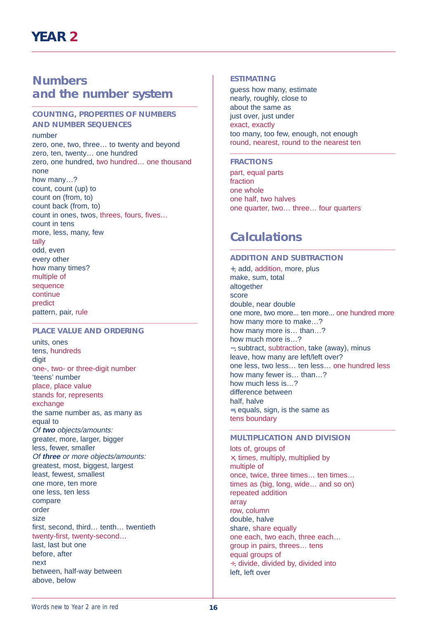### **Numbers and the number system**

#### **COUNTING, PROPERTIES OF NUMBERS AND NUMBER SEQUENCES**

#### number

zero, one, two, three… to twenty and beyond zero, ten, twenty… one hundred zero, one hundred, two hundred… one thousand none how many…? count, count (up) to count on (from, to) count back (from, to) count in ones, twos, threes, fours, fives… count in tens more, less, many, few tally odd, even every other how many times? multiple of sequence continue predict pattern, pair, rule

#### **PLACE VALUE AND ORDERING**

units, ones tens, hundreds digit one-, two- or three-digit number 'teens' number place, place value stands for, represents exchange the same number as, as many as equal to Of **two** objects/amounts: greater, more, larger, bigger less, fewer, smaller Of **three** or more objects/amounts: greatest, most, biggest, largest least, fewest, smallest one more, ten more one less, ten less compare order size first, second, third… tenth… twentieth twenty-first, twenty-second… last, last but one before, after next between, half-way between above, below

#### **ESTIMATING**

guess how many, estimate nearly, roughly, close to about the same as just over, just under exact, exactly too many, too few, enough, not enough round, nearest, round to the nearest ten

#### **FRACTIONS**

part, equal parts fraction one whole one half, two halves one quarter, two… three… four quarters

### **Calculations**

#### **ADDITION AND SUBTRACTION**

+, add, addition, more, plus make, sum, total altogether score double, near double one more, two more... ten more... one hundred more how many more to make…? how many more is… than…? how much more is…? −, subtract, subtraction, take (away), minus leave, how many are left/left over? one less, two less… ten less… one hundred less how many fewer is… than…? how much less is…? difference between half, halve =, equals, sign, is the same as tens boundary

#### **MULTIPLICATION AND DIVISION**

lots of, groups of  $\times$ , times, multiply, multiplied by multiple of once, twice, three times… ten times… times as (big, long, wide… and so on) repeated addition array row, column double, halve share, share equally one each, two each, three each… group in pairs, threes… tens equal groups of ÷, divide, divided by, divided into left, left over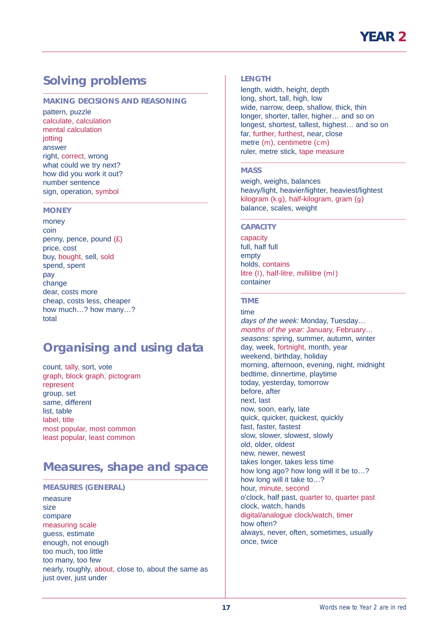# **Solving problems**

#### **MAKING DECISIONS AND REASONING**

pattern, puzzle calculate, calculation mental calculation iotting answer right, correct, wrong what could we try next? how did you work it out? number sentence sign, operation, symbol

#### **MONEY**

money coin penny, pence, pound (£) price, cost buy, bought, sell, sold spend, spent pay change dear, costs more cheap, costs less, cheaper how much…? how many…? total

# **Organising and using data**

count, tally, sort, vote graph, block graph, pictogram represent group, set same, different list, table label, title most popular, most common least popular, least common

# **Measures, shape and space**

#### **MEASURES (GENERAL)**

measure size compare measuring scale guess, estimate enough, not enough too much, too little too many, too few nearly, roughly, about, close to, about the same as just over, just under

#### **LENGTH**

length, width, height, depth long, short, tall, high, low wide, narrow, deep, shallow, thick, thin longer, shorter, taller, higher… and so on longest, shortest, tallest, highest… and so on far, further, furthest, near, close metre (*m*), centimetre (*cm*) ruler, metre stick, tape measure

#### **MASS**

weigh, weighs, balances heavy/light, heavier/lighter, heaviest/lightest kilogram (*kg*), half-kilogram, gram (*g*) balance, scales, weight

#### **CAPACITY**

capacity full, half full empty holds, contains litre (*l*), half-litre, millilitre (*ml*) container

#### **TIME**

time

days of the week: Monday, Tuesday… months of the year: January, February… seasons: spring, summer, autumn, winter day, week, fortnight, month, year weekend, birthday, holiday morning, afternoon, evening, night, midnight bedtime, dinnertime, playtime today, yesterday, tomorrow before, after next, last now, soon, early, late quick, quicker, quickest, quickly fast, faster, fastest slow, slower, slowest, slowly old, older, oldest new, newer, newest takes longer, takes less time how long ago? how long will it be to…? how long will it take to…? hour, minute, second o'clock, half past, quarter to, quarter past clock, watch, hands digital/analogue clock/watch, timer how often? always, never, often, sometimes, usually once, twice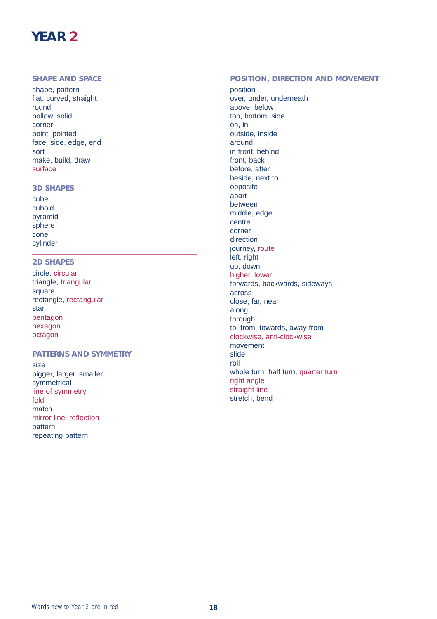#### **SHAPE AND SPACE**

shape, pattern flat, curved, straight round hollow, solid corner point, pointed face, side, edge, end sort make, build, draw surface

#### **3D SHAPES**

cube cuboid pyramid sphere cone cylinder

#### **2D SHAPES**

circle, circular triangle, triangular square rectangle, rectangular star pentagon hexagon octagon

#### **PATTERNS AND SYMMETRY**

size bigger, larger, smaller symmetrical line of symmetry fold match mirror line, reflection pattern repeating pattern

#### **POSITION, DIRECTION AND MOVEMENT**

position over, under, underneath above, below top, bottom, side on, in outside, inside around in front, behind front, back before, after beside, next to opposite apart between middle, edge centre corner direction journey, route left, right up, down higher, lower forwards, backwards, sideways across close, far, near along through to, from, towards, away from clockwise, anti-clockwise movement slide roll whole turn, half turn, quarter turn right angle straight line stretch, bend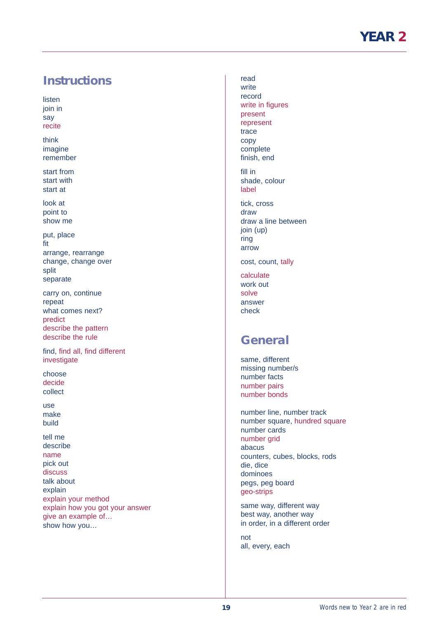# **Instructions**

listen join in say recite

think imagine remember

start from start with start at

look at point to show me

put, place fit arrange, rearrange change, change over split separate

carry on, continue repeat what comes next? predict describe the pattern describe the rule

find, find all, find different investigate

choose decide collect

use make build

tell me describe name pick out discuss talk about explain explain your method explain how you got your answer give an example of… show how you…

read write record write in figures present represent trace copy complete finish, end fill in shade, colour label tick, cross draw draw a line between join (up) ring arrow cost, count, tally calculate work out solve answer check **General** same, different missing number/s number facts number pairs number bonds number line, number track number square, hundred square number cards number grid abacus counters, cubes, blocks, rods die, dice

pegs, peg board geo-strips

dominoes

same way, different way best way, another way in order, in a different order

not all, every, each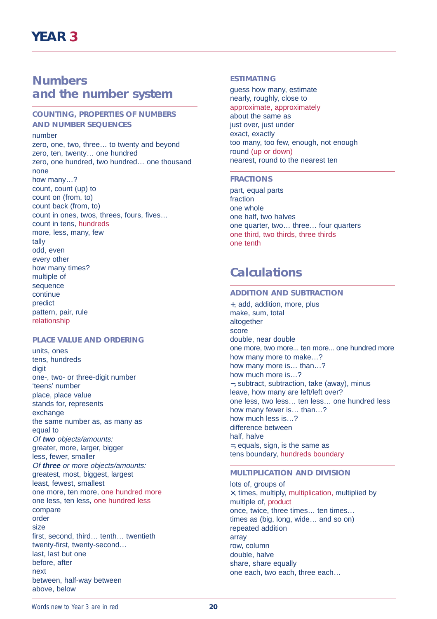### **Numbers and the number system**

#### **COUNTING, PROPERTIES OF NUMBERS AND NUMBER SEQUENCES**

#### number

zero, one, two, three… to twenty and beyond zero, ten, twenty… one hundred zero, one hundred, two hundred… one thousand none how many…? count, count (up) to count on (from, to) count back (from, to) count in ones, twos, threes, fours, fives… count in tens, hundreds more, less, many, few tally odd, even every other how many times? multiple of sequence continue predict pattern, pair, rule relationship

#### **PLACE VALUE AND ORDERING**

units, ones tens, hundreds digit one-, two- or three-digit number 'teens' number place, place value stands for, represents exchange the same number as, as many as equal to Of **two** objects/amounts: greater, more, larger, bigger less, fewer, smaller Of **three** or more objects/amounts: greatest, most, biggest, largest least, fewest, smallest one more, ten more, one hundred more one less, ten less, one hundred less compare order size first, second, third… tenth… twentieth twenty-first, twenty-second… last, last but one before, after next between, half-way between above, below

#### **ESTIMATING**

guess how many, estimate nearly, roughly, close to approximate, approximately about the same as just over, just under exact, exactly too many, too few, enough, not enough round (up or down) nearest, round to the nearest ten

#### **FRACTIONS**

part, equal parts fraction one whole one half, two halves one quarter, two… three… four quarters one third, two thirds, three thirds one tenth

### **Calculations**

#### **ADDITION AND SUBTRACTION**

+, add, addition, more, plus make, sum, total altogether score double, near double one more, two more... ten more... one hundred more how many more to make…? how many more is… than…? how much more is…? −, subtract, subtraction, take (away), minus leave, how many are left/left over? one less, two less… ten less… one hundred less how many fewer is… than…? how much less is…? difference between half, halve =, equals, sign, is the same as tens boundary, hundreds boundary

#### **MULTIPLICATION AND DIVISION**

lots of, groups of  $\times$ , times, multiply, multiplication, multiplied by multiple of, product once, twice, three times… ten times… times as (big, long, wide… and so on) repeated addition array row, column double, halve share, share equally one each, two each, three each…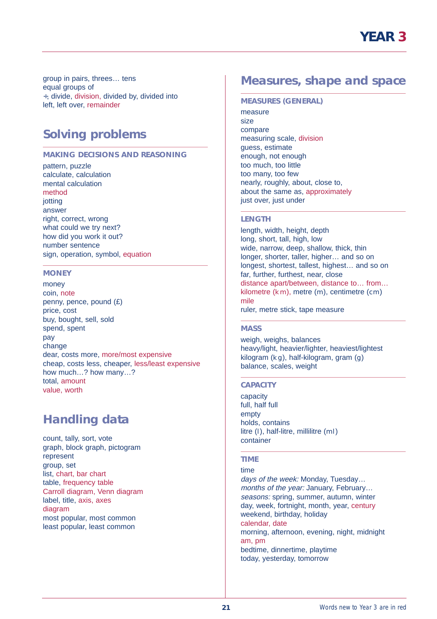group in pairs, threes… tens equal groups of ÷, divide, division, divided by, divided into left, left over, remainder

# **Solving problems**

#### **MAKING DECISIONS AND REASONING**

pattern, puzzle calculate, calculation mental calculation method jotting answer right, correct, wrong what could we try next? how did you work it out? number sentence sign, operation, symbol, equation

#### **MONEY**

money coin, note penny, pence, pound (£) price, cost buy, bought, sell, sold spend, spent pay change dear, costs more, more/most expensive cheap, costs less, cheaper, less/least expensive how much…? how many…? total, amount value, worth

# **Handling data**

count, tally, sort, vote graph, block graph, pictogram represent group, set list, chart, bar chart table, frequency table Carroll diagram, Venn diagram label, title, axis, axes diagram most popular, most common least popular, least common

### **Measures, shape and space**

#### **MEASURES (GENERAL)**

measure size compare measuring scale, division guess, estimate enough, not enough too much, too little too many, too few nearly, roughly, about, close to, about the same as, approximately just over, just under

#### **LENGTH**

length, width, height, depth long, short, tall, high, low wide, narrow, deep, shallow, thick, thin longer, shorter, taller, higher… and so on longest, shortest, tallest, highest… and so on far, further, furthest, near, close distance apart/between, distance to… from… kilometre (*km*), metre (*m*), centimetre (*cm*) mile

ruler, metre stick, tape measure

#### **MASS**

weigh, weighs, balances heavy/light, heavier/lighter, heaviest/lightest kilogram (*kg*), half-kilogram, gram (*g*) balance, scales, weight

#### **CAPACITY**

capacity full, half full empty holds, contains litre (*l*), half-litre, millilitre (*ml*) container

#### **TIME**

#### time

days of the week: Monday, Tuesday… months of the year: January, February... seasons: spring, summer, autumn, winter day, week, fortnight, month, year, century weekend, birthday, holiday calendar, date morning, afternoon, evening, night, midnight am, pm bedtime, dinnertime, playtime today, yesterday, tomorrow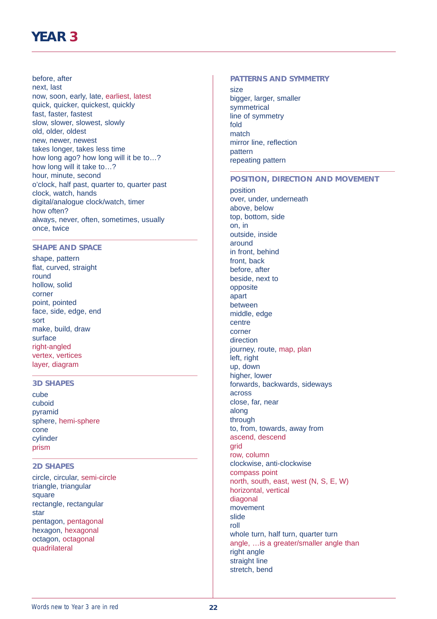before, after next, last now, soon, early, late, earliest, latest quick, quicker, quickest, quickly fast, faster, fastest slow, slower, slowest, slowly old, older, oldest new, newer, newest takes longer, takes less time how long ago? how long will it be to…? how long will it take to…? hour, minute, second o'clock, half past, quarter to, quarter past clock, watch, hands digital/analogue clock/watch, timer how often? always, never, often, sometimes, usually once, twice

#### **SHAPE AND SPACE**

shape, pattern flat, curved, straight round hollow, solid corner point, pointed face, side, edge, end sort make, build, draw surface right-angled vertex, vertices layer, diagram

#### **3D SHAPES**

cube cuboid pyramid sphere, hemi-sphere cone cylinder prism

#### **2D SHAPES**

circle, circular, semi-circle triangle, triangular square rectangle, rectangular star pentagon, pentagonal hexagon, hexagonal octagon, octagonal quadrilateral

#### **PATTERNS AND SYMMETRY**

size bigger, larger, smaller symmetrical line of symmetry fold match mirror line, reflection pattern repeating pattern

#### **POSITION, DIRECTION AND MOVEMENT**

position over, under, underneath above, below top, bottom, side on, in outside, inside around in front, behind front, back before, after beside, next to opposite apart between middle, edge centre corner direction journey, route, map, plan left, right up, down higher, lower forwards, backwards, sideways across close, far, near along through to, from, towards, away from ascend, descend grid row, column clockwise, anti-clockwise compass point north, south, east, west (N, S, E, W) horizontal, vertical diagonal movement slide roll whole turn, half turn, quarter turn angle, …is a greater/smaller angle than right angle straight line stretch, bend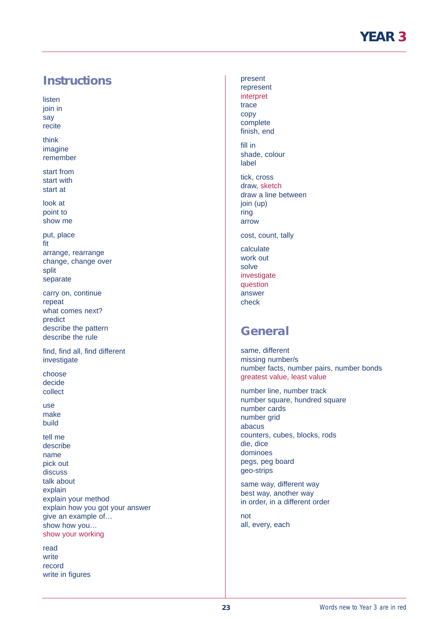# **Instructions**

listen join in say recite

think imagine remember

start from start with start at

look at point to show me

put, place fit arrange, rearrange change, change over split separate

carry on, continue repeat what comes next? predict describe the pattern describe the rule

find, find all, find different investigate

choose decide collect

use make build

tell me describe name pick out discuss talk about explain explain your method explain how you got your answer give an example of… show how you… show your working

read write record write in figures present represent interpret trace copy complete finish, end

fill in shade, colour label

tick, cross draw, sketch draw a line between join (up) ring arrow

cost, count, tally

calculate work out solve investigate question answer check

# **General**

same, different missing number/s number facts, number pairs, number bonds greatest value, least value

number line, number track number square, hundred square number cards number grid abacus counters, cubes, blocks, rods die, dice dominoes pegs, peg board geo-strips

same way, different way best way, another way in order, in a different order

not all, every, each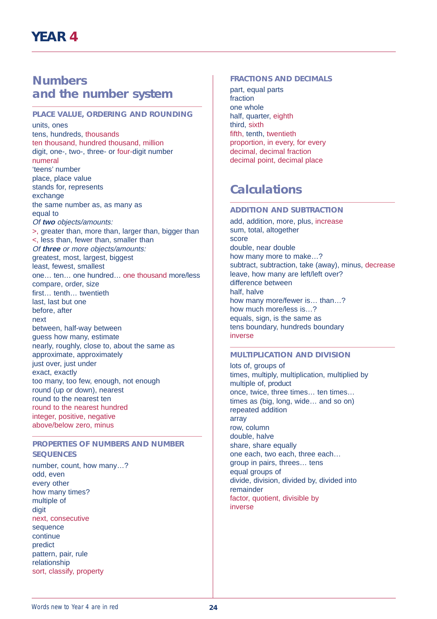### **Numbers and the number system**

#### **PLACE VALUE, ORDERING AND ROUNDING**

units, ones tens, hundreds, thousands ten thousand, hundred thousand, million digit, one-, two-, three- or four-digit number numeral 'teens' number place, place value stands for, represents exchange the same number as, as many as equal to Of **two** objects/amounts: >, greater than, more than, larger than, bigger than <, less than, fewer than, smaller than Of **three** or more objects/amounts: greatest, most, largest, biggest least, fewest, smallest one… ten… one hundred… one thousand more/less compare, order, size first… tenth… twentieth last, last but one before, after next between, half-way between guess how many, estimate nearly, roughly, close to, about the same as approximate, approximately just over, just under exact, exactly too many, too few, enough, not enough round (up or down), nearest round to the nearest ten round to the nearest hundred integer, positive, negative above/below zero, minus

#### **PROPERTIES OF NUMBERS AND NUMBER SEQUENCES**

number, count, how many…? odd, even every other how many times? multiple of digit next, consecutive sequence continue predict pattern, pair, rule relationship sort, classify, property

#### **FRACTIONS AND DECIMALS**

part, equal parts fraction one whole half, quarter, eighth third, sixth fifth, tenth, twentieth proportion, in every, for every decimal, decimal fraction decimal point, decimal place

# **Calculations**

#### **ADDITION AND SUBTRACTION**

add, addition, more, plus, increase sum, total, altogether score double, near double how many more to make…? subtract, subtraction, take (away), minus, decrease leave, how many are left/left over? difference between half, halve how many more/fewer is… than…? how much more/less is…? equals, sign, is the same as tens boundary, hundreds boundary inverse

#### **MULTIPLICATION AND DIVISION**

lots of, groups of times, multiply, multiplication, multiplied by multiple of, product once, twice, three times… ten times… times as (big, long, wide… and so on) repeated addition array row, column double, halve share, share equally one each, two each, three each… group in pairs, threes… tens equal groups of divide, division, divided by, divided into remainder factor, quotient, divisible by inverse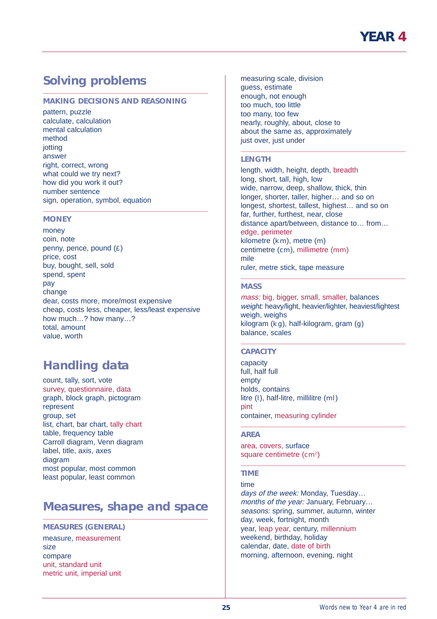# **Solving problems**

#### **MAKING DECISIONS AND REASONING**

pattern, puzzle calculate, calculation mental calculation method iotting answer right, correct, wrong what could we try next? how did you work it out? number sentence sign, operation, symbol, equation

#### **MONEY**

money coin, note penny, pence, pound (£) price, cost buy, bought, sell, sold spend, spent pay change dear, costs more, more/most expensive cheap, costs less, cheaper, less/least expensive how much…? how many…? total, amount value, worth

# **Handling data**

count, tally, sort, vote survey, questionnaire, data graph, block graph, pictogram represent group, set list, chart, bar chart, tally chart table, frequency table Carroll diagram, Venn diagram label, title, axis, axes diagram most popular, most common least popular, least common

# **Measures, shape and space**

#### **MEASURES (GENERAL)**

measure, measurement size compare unit, standard unit metric unit, imperial unit

measuring scale, division guess, estimate enough, not enough too much, too little too many, too few nearly, roughly, about, close to about the same as, approximately just over, just under

#### **LENGTH**

length, width, height, depth, breadth long, short, tall, high, low wide, narrow, deep, shallow, thick, thin longer, shorter, taller, higher… and so on longest, shortest, tallest, highest… and so on far, further, furthest, near, close distance apart/between, distance to… from… edge, perimeter kilometre (*km*), metre (*m*) centimetre (*cm*), millimetre (*mm*) mile ruler, metre stick, tape measure

#### **MASS**

mass: big, bigger, small, smaller, balances weight: heavy/light, heavier/lighter, heaviest/lightest weigh, weighs kilogram (*kg*), half-kilogram, gram (*g*) balance, scales

#### **CAPACITY**

capacity full, half full empty holds, contains litre (*l*), half-litre, millilitre (*ml*) pint container, measuring cylinder

#### **AREA**

area, covers, surface square centimetre (*cm2*)

#### **TIME**

#### time

days of the week: Monday, Tuesday... months of the year: January, February... seasons: spring, summer, autumn, winter day, week, fortnight, month year, leap year, century, millennium weekend, birthday, holiday calendar, date, date of birth morning, afternoon, evening, night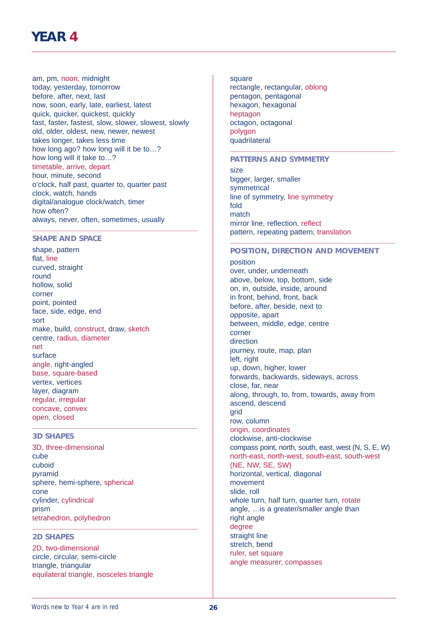am, pm, noon, midnight today, yesterday, tomorrow before, after, next, last now, soon, early, late, earliest, latest quick, quicker, quickest, quickly fast, faster, fastest, slow, slower, slowest, slowly old, older, oldest, new, newer, newest takes longer, takes less time how long ago? how long will it be to…? how long will it take to…? timetable, arrive, depart hour, minute, second o'clock, half past, quarter to, quarter past clock, watch, hands digital/analogue clock/watch, timer how often? always, never, often, sometimes, usually

#### **SHAPE AND SPACE**

shape, pattern flat, line curved, straight round hollow, solid corner point, pointed face, side, edge, end sort make, build, construct, draw, sketch centre, radius, diameter net surface angle, right-angled base, square-based vertex, vertices layer, diagram regular, irregular concave, convex open, closed

#### **3D SHAPES**

3D, three-dimensional cube cuboid pyramid sphere, hemi-sphere, spherical cone cylinder, cylindrical prism tetrahedron, polyhedron

#### **2D SHAPES**

2D, two-dimensional circle, circular, semi-circle triangle, triangular equilateral triangle, isosceles triangle

square rectangle, rectangular, oblong pentagon, pentagonal hexagon, hexagonal heptagon octagon, octagonal polygon quadrilateral

#### **PATTERNS AND SYMMETRY**

size bigger, larger, smaller symmetrical line of symmetry, line symmetry fold match mirror line, reflection, reflect pattern, repeating pattern, translation

#### **POSITION, DIRECTION AND MOVEMENT**

position over, under, underneath above, below, top, bottom, side on, in, outside, inside, around in front, behind, front, back before, after, beside, next to opposite, apart between, middle, edge, centre corner direction journey, route, map, plan left, right up, down, higher, lower forwards, backwards, sideways, across close, far, near along, through, to, from, towards, away from ascend, descend grid row, column origin, coordinates clockwise, anti-clockwise compass point, north, south, east, west (N, S, E, W) north-east, north-west, south-east, south-west (NE, NW, SE, SW) horizontal, vertical, diagonal movement slide, roll whole turn, half turn, quarter turn, rotate angle, …is a greater/smaller angle than right angle degree straight line stretch, bend ruler, set square angle measurer, compasses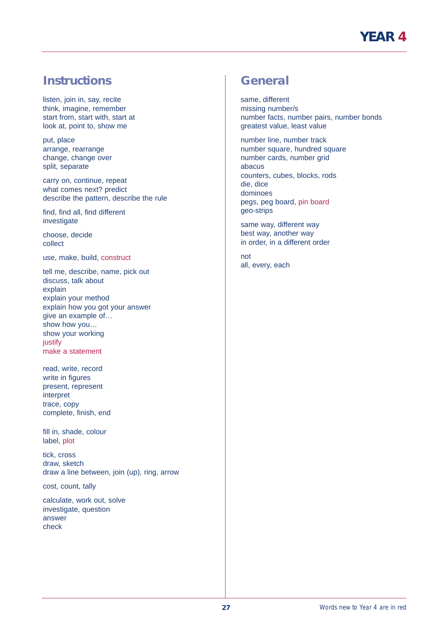# **Instructions**

listen, join in, say, recite think, imagine, remember start from, start with, start at look at, point to, show me

put, place arrange, rearrange change, change over split, separate

carry on, continue, repeat what comes next? predict describe the pattern, describe the rule

find, find all, find different investigate

choose, decide collect

use, make, build, construct

tell me, describe, name, pick out discuss, talk about explain explain your method explain how you got your answer give an example of… show how you… show your working justify make a statement

read, write, record write in figures present, represent interpret trace, copy complete, finish, end

fill in, shade, colour label, plot

tick, cross draw, sketch draw a line between, join (up), ring, arrow

cost, count, tally

calculate, work out, solve investigate, question answer check

# **General**

same, different missing number/s number facts, number pairs, number bonds greatest value, least value

number line, number track number square, hundred square number cards, number grid abacus counters, cubes, blocks, rods die, dice dominoes pegs, peg board, pin board geo-strips

same way, different way best way, another way in order, in a different order

not all, every, each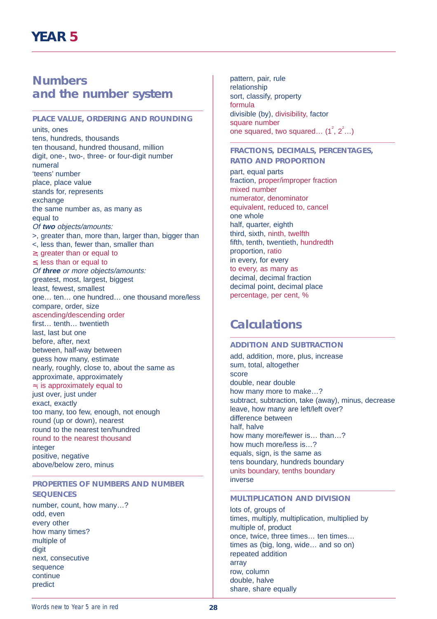### **Numbers and the number system**

#### **PLACE VALUE, ORDERING AND ROUNDING**

units, ones tens, hundreds, thousands ten thousand, hundred thousand, million digit, one-, two-, three- or four-digit number numeral 'teens' number place, place value stands for, represents exchange the same number as, as many as equal to Of **two** objects/amounts: >, greater than, more than, larger than, bigger than <, less than, fewer than, smaller than ≥, greater than or equal to ≤, less than or equal to Of **three** or more objects/amounts: greatest, most, largest, biggest least, fewest, smallest one… ten… one hundred… one thousand more/less compare, order, size ascending/descending order first… tenth… twentieth last, last but one before, after, next between, half-way between guess how many, estimate nearly, roughly, close to, about the same as approximate, approximately ≈, is approximately equal to just over, just under exact, exactly too many, too few, enough, not enough round (up or down), nearest round to the nearest ten/hundred round to the nearest thousand integer positive, negative above/below zero, minus

#### **PROPERTIES OF NUMBERS AND NUMBER SEQUENCES**

number, count, how many…? odd, even every other how many times? multiple of digit next, consecutive sequence continue predict

pattern, pair, rule relationship sort, classify, property formula divisible (by), divisibility, factor square number one squared, two squared...  $(1^2, 2^2...)$ 

#### **FRACTIONS, DECIMALS, PERCENTAGES, RATIO AND PROPORTION**

part, equal parts fraction, proper/improper fraction mixed number numerator, denominator equivalent, reduced to, cancel one whole half, quarter, eighth third, sixth, ninth, twelfth fifth, tenth, twentieth, hundredth proportion, ratio in every, for every to every, as many as decimal, decimal fraction decimal point, decimal place percentage, per cent, %

# **Calculations**

#### **ADDITION AND SUBTRACTION**

add, addition, more, plus, increase sum, total, altogether score double, near double how many more to make…? subtract, subtraction, take (away), minus, decrease leave, how many are left/left over? difference between half, halve how many more/fewer is… than…? how much more/less is…? equals, sign, is the same as tens boundary, hundreds boundary units boundary, tenths boundary inverse

#### **MULTIPLICATION AND DIVISION**

lots of, groups of times, multiply, multiplication, multiplied by multiple of, product once, twice, three times… ten times… times as (big, long, wide… and so on) repeated addition array row, column double, halve share, share equally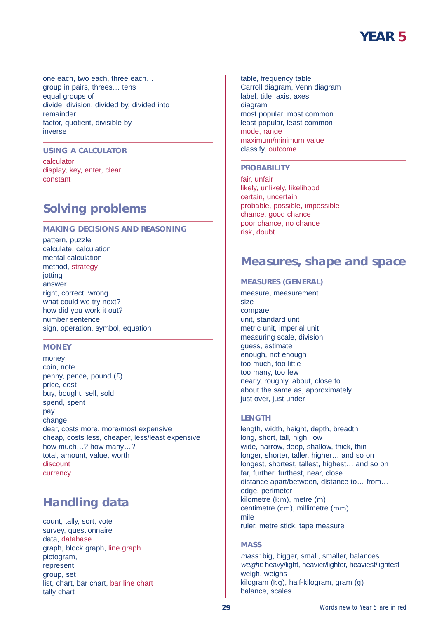one each, two each, three each… group in pairs, threes… tens equal groups of divide, division, divided by, divided into remainder factor, quotient, divisible by inverse

#### **USING A CALCULATOR**

calculator display, key, enter, clear constant

# **Solving problems**

#### **MAKING DECISIONS AND REASONING**

pattern, puzzle calculate, calculation mental calculation method, strategy jotting answer right, correct, wrong what could we try next? how did you work it out? number sentence sign, operation, symbol, equation

#### **MONEY**

money coin, note penny, pence, pound (£) price, cost buy, bought, sell, sold spend, spent pay change dear, costs more, more/most expensive cheap, costs less, cheaper, less/least expensive how much…? how many…? total, amount, value, worth discount currency

# **Handling data**

count, tally, sort, vote survey, questionnaire data, database graph, block graph, line graph pictogram, represent group, set list, chart, bar chart, bar line chart tally chart

table, frequency table Carroll diagram, Venn diagram label, title, axis, axes diagram most popular, most common least popular, least common mode, range maximum/minimum value classify, outcome

#### **PROBABILITY**

fair, unfair likely, unlikely, likelihood certain, uncertain probable, possible, impossible chance, good chance poor chance, no chance risk, doubt

### **Measures, shape and space**

#### **MEASURES (GENERAL)**

measure, measurement size compare unit, standard unit metric unit, imperial unit measuring scale, division guess, estimate enough, not enough too much, too little too many, too few nearly, roughly, about, close to about the same as, approximately just over, just under

#### **LENGTH**

length, width, height, depth, breadth long, short, tall, high, low wide, narrow, deep, shallow, thick, thin longer, shorter, taller, higher… and so on longest, shortest, tallest, highest… and so on far, further, furthest, near, close distance apart/between, distance to… from… edge, perimeter kilometre (*km*), metre (*m*) centimetre (*cm*), millimetre (*mm*) mile ruler, metre stick, tape measure

#### **MASS**

mass: big, bigger, small, smaller, balances weight: heavy/light, heavier/lighter, heaviest/lightest weigh, weighs kilogram (*kg*), half-kilogram, gram (*g*) balance, scales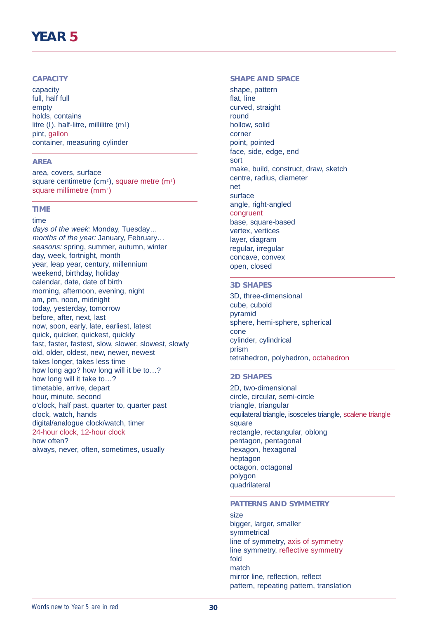#### **CAPACITY**

capacity full, half full empty holds, contains litre (*l*), half-litre, millilitre (*ml*) pint, gallon container, measuring cylinder

#### **AREA**

area, covers, surface square centimetre (*cm2*), square metre (*m2*) square millimetre (*mm2*)

#### **TIME**

#### time

days of the week: Monday, Tuesday... months of the year: January, February... seasons: spring, summer, autumn, winter day, week, fortnight, month year, leap year, century, millennium weekend, birthday, holiday calendar, date, date of birth morning, afternoon, evening, night am, pm, noon, midnight today, yesterday, tomorrow before, after, next, last now, soon, early, late, earliest, latest quick, quicker, quickest, quickly fast, faster, fastest, slow, slower, slowest, slowly old, older, oldest, new, newer, newest takes longer, takes less time how long ago? how long will it be to…? how long will it take to…? timetable, arrive, depart hour, minute, second o'clock, half past, quarter to, quarter past clock, watch, hands digital/analogue clock/watch, timer 24-hour clock, 12-hour clock how often? always, never, often, sometimes, usually

#### **SHAPE AND SPACE**

shape, pattern flat, line curved, straight round hollow, solid corner point, pointed face, side, edge, end sort make, build, construct, draw, sketch centre, radius, diameter net surface angle, right-angled congruent base, square-based vertex, vertices layer, diagram regular, irregular concave, convex open, closed

#### **3D SHAPES**

3D, three-dimensional cube, cuboid pyramid sphere, hemi-sphere, spherical cone cylinder, cylindrical prism tetrahedron, polyhedron, octahedron

#### **2D SHAPES**

2D, two-dimensional circle, circular, semi-circle triangle, triangular equilateral triangle, isosceles triangle, scalene triangle square rectangle, rectangular, oblong pentagon, pentagonal hexagon, hexagonal heptagon octagon, octagonal polygon quadrilateral

#### **PATTERNS AND SYMMETRY**

size bigger, larger, smaller symmetrical line of symmetry, axis of symmetry line symmetry, reflective symmetry fold match mirror line, reflection, reflect pattern, repeating pattern, translation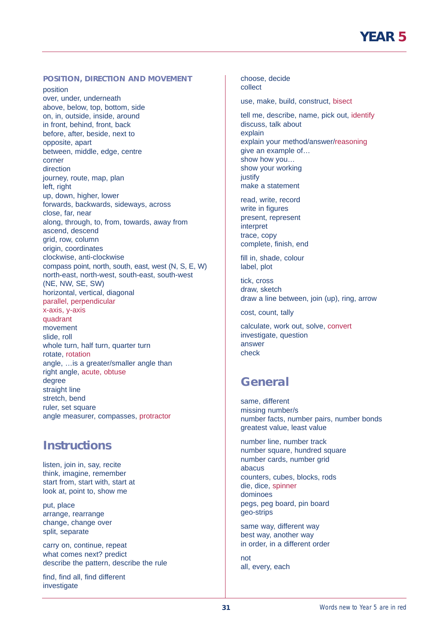#### **POSITION, DIRECTION AND MOVEMENT**

position over, under, underneath above, below, top, bottom, side on, in, outside, inside, around in front, behind, front, back before, after, beside, next to opposite, apart between, middle, edge, centre corner direction journey, route, map, plan left, right up, down, higher, lower forwards, backwards, sideways, across close, far, near along, through, to, from, towards, away from ascend, descend grid, row, column origin, coordinates clockwise, anti-clockwise compass point, north, south, east, west (N, S, E, W) north-east, north-west, south-east, south-west (NE, NW, SE, SW) horizontal, vertical, diagonal parallel, perpendicular x-axis, y-axis quadrant movement slide, roll whole turn, half turn, quarter turn rotate, rotation angle, …is a greater/smaller angle than right angle, acute, obtuse degree straight line stretch, bend ruler, set square angle measurer, compasses, protractor

### **Instructions**

listen, join in, say, recite think, imagine, remember start from, start with, start at look at, point to, show me

put, place arrange, rearrange change, change over split, separate

carry on, continue, repeat what comes next? predict describe the pattern, describe the rule

find, find all, find different investigate

choose, decide collect

use, make, build, construct, bisect

tell me, describe, name, pick out, identify discuss, talk about explain explain your method/answer/reasoning give an example of… show how you… show your working justify make a statement

read, write, record write in figures present, represent interpret trace, copy complete, finish, end

fill in, shade, colour label, plot

tick, cross draw, sketch draw a line between, join (up), ring, arrow

cost, count, tally

calculate, work out, solve, convert investigate, question answer check

### **General**

same, different missing number/s number facts, number pairs, number bonds greatest value, least value

number line, number track number square, hundred square number cards, number grid abacus counters, cubes, blocks, rods die, dice, spinner dominoes pegs, peg board, pin board geo-strips

same way, different way best way, another way in order, in a different order

not all, every, each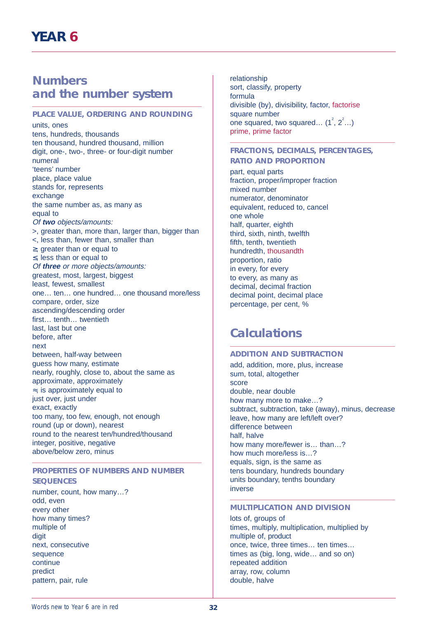### **Numbers and the number system**

#### **PLACE VALUE, ORDERING AND ROUNDING**

units, ones tens, hundreds, thousands ten thousand, hundred thousand, million digit, one-, two-, three- or four-digit number numeral 'teens' number place, place value stands for, represents exchange the same number as, as many as equal to Of **two** objects/amounts: >, greater than, more than, larger than, bigger than <, less than, fewer than, smaller than ≥, greater than or equal to ≤, less than or equal to Of **three** or more objects/amounts: greatest, most, largest, biggest least, fewest, smallest one… ten… one hundred… one thousand more/less compare, order, size ascending/descending order first… tenth… twentieth last, last but one before, after next between, half-way between guess how many, estimate nearly, roughly, close to, about the same as approximate, approximately ≈, is approximately equal to just over, just under exact, exactly too many, too few, enough, not enough round (up or down), nearest round to the nearest ten/hundred/thousand integer, positive, negative above/below zero, minus

#### **PROPERTIES OF NUMBERS AND NUMBER SEQUENCES**

number, count, how many…? odd, even every other how many times? multiple of digit next, consecutive sequence continue predict pattern, pair, rule

relationship sort, classify, property formula divisible (by), divisibility, factor, factorise square number one squared, two squared...  $(1^2, 2^2...)$ prime, prime factor

#### **FRACTIONS, DECIMALS, PERCENTAGES, RATIO AND PROPORTION**

part, equal parts fraction, proper/improper fraction mixed number numerator, denominator equivalent, reduced to, cancel one whole half, quarter, eighth third, sixth, ninth, twelfth fifth, tenth, twentieth hundredth, thousandth proportion, ratio in every, for every to every, as many as decimal, decimal fraction decimal point, decimal place percentage, per cent, %

# **Calculations**

#### **ADDITION AND SUBTRACTION**

add, addition, more, plus, increase sum, total, altogether score double, near double how many more to make…? subtract, subtraction, take (away), minus, decrease leave, how many are left/left over? difference between half, halve how many more/fewer is… than…? how much more/less is…? equals, sign, is the same as tens boundary, hundreds boundary units boundary, tenths boundary inverse

#### **MULTIPLICATION AND DIVISION**

lots of, groups of times, multiply, multiplication, multiplied by multiple of, product once, twice, three times… ten times… times as (big, long, wide… and so on) repeated addition array, row, column double, halve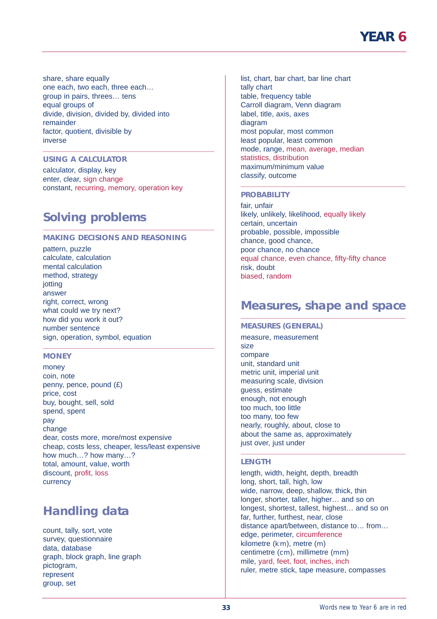share, share equally one each, two each, three each… group in pairs, threes… tens equal groups of divide, division, divided by, divided into remainder factor, quotient, divisible by inverse

#### **USING A CALCULATOR**

calculator, display, key enter, clear, sign change constant, recurring, memory, operation key

# **Solving problems**

#### **MAKING DECISIONS AND REASONING**

pattern, puzzle calculate, calculation mental calculation method, strategy jotting answer right, correct, wrong what could we try next? how did you work it out? number sentence sign, operation, symbol, equation

#### **MONEY**

money coin, note penny, pence, pound (£) price, cost buy, bought, sell, sold spend, spent pay change dear, costs more, more/most expensive cheap, costs less, cheaper, less/least expensive how much…? how many…? total, amount, value, worth discount, profit, loss currency

# **Handling data**

count, tally, sort, vote survey, questionnaire data, database graph, block graph, line graph pictogram, represent group, set

list, chart, bar chart, bar line chart tally chart table, frequency table Carroll diagram, Venn diagram label, title, axis, axes diagram most popular, most common least popular, least common mode, range, mean, average, median statistics, distribution maximum/minimum value classify, outcome

#### **PROBABILITY**

fair, unfair likely, unlikely, likelihood, equally likely certain, uncertain probable, possible, impossible chance, good chance, poor chance, no chance equal chance, even chance, fifty-fifty chance risk, doubt biased, random

### **Measures, shape and space**

#### **MEASURES (GENERAL)**

measure, measurement size compare unit, standard unit metric unit, imperial unit measuring scale, division guess, estimate enough, not enough too much, too little too many, too few nearly, roughly, about, close to about the same as, approximately just over, just under

#### **LENGTH**

length, width, height, depth, breadth long, short, tall, high, low wide, narrow, deep, shallow, thick, thin longer, shorter, taller, higher… and so on longest, shortest, tallest, highest… and so on far, further, furthest, near, close distance apart/between, distance to… from… edge, perimeter, circumference kilometre (*km*), metre (*m*) centimetre (*cm*), millimetre (*mm*) mile, yard, feet, foot, inches, inch ruler, metre stick, tape measure, compasses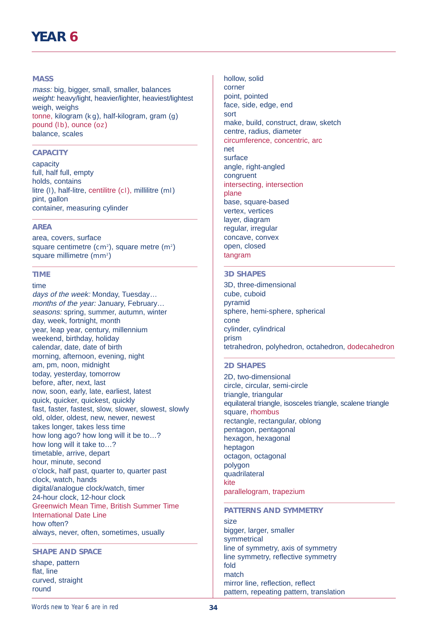#### **MASS**

mass: big, bigger, small, smaller, balances weight: heavy/light, heavier/lighter, heaviest/lightest weigh, weighs tonne, kilogram (*kg*), half-kilogram, gram (*g*) pound (*lb*), ounce (*oz*) balance, scales

#### **CAPACITY**

capacity full, half full, empty holds, contains litre (*l*), half-litre, centilitre (*cl*), millilitre (*ml*) pint, gallon container, measuring cylinder

#### **AREA**

area, covers, surface square centimetre (*cm2*), square metre (*m2*) square millimetre (*mm2*)

#### **TIME**

time

days of the week: Monday, Tuesday… months of the year: January, February... seasons: spring, summer, autumn, winter day, week, fortnight, month year, leap year, century, millennium weekend, birthday, holiday calendar, date, date of birth morning, afternoon, evening, night am, pm, noon, midnight today, yesterday, tomorrow before, after, next, last now, soon, early, late, earliest, latest quick, quicker, quickest, quickly fast, faster, fastest, slow, slower, slowest, slowly old, older, oldest, new, newer, newest takes longer, takes less time how long ago? how long will it be to…? how long will it take to…? timetable, arrive, depart hour, minute, second o'clock, half past, quarter to, quarter past clock, watch, hands digital/analogue clock/watch, timer 24-hour clock, 12-hour clock Greenwich Mean Time, British Summer Time International Date Line how often? always, never, often, sometimes, usually

#### **SHAPE AND SPACE**

shape, pattern flat, line curved, straight round

hollow, solid corner point, pointed face, side, edge, end sort make, build, construct, draw, sketch centre, radius, diameter circumference, concentric, arc net surface angle, right-angled congruent intersecting, intersection plane base, square-based vertex, vertices layer, diagram regular, irregular concave, convex open, closed tangram

#### **3D SHAPES**

3D, three-dimensional cube, cuboid pyramid sphere, hemi-sphere, spherical cone cylinder, cylindrical prism tetrahedron, polyhedron, octahedron, dodecahedron

#### **2D SHAPES**

2D, two-dimensional circle, circular, semi-circle triangle, triangular equilateral triangle, isosceles triangle, scalene triangle square, rhombus rectangle, rectangular, oblong pentagon, pentagonal hexagon, hexagonal heptagon octagon, octagonal polygon quadrilateral kite parallelogram, trapezium

#### **PATTERNS AND SYMMETRY**

size bigger, larger, smaller symmetrical line of symmetry, axis of symmetry line symmetry, reflective symmetry fold match mirror line, reflection, reflect pattern, repeating pattern, translation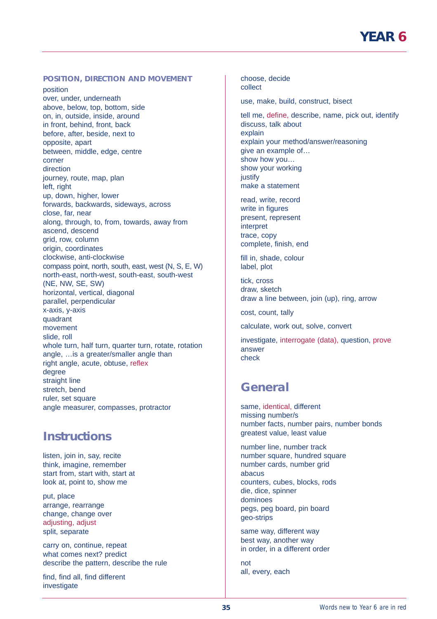#### **POSITION, DIRECTION AND MOVEMENT**

position over, under, underneath above, below, top, bottom, side on, in, outside, inside, around in front, behind, front, back before, after, beside, next to opposite, apart between, middle, edge, centre corner direction journey, route, map, plan left, right up, down, higher, lower forwards, backwards, sideways, across close, far, near along, through, to, from, towards, away from ascend, descend grid, row, column origin, coordinates clockwise, anti-clockwise compass point, north, south, east, west (N, S, E, W) north-east, north-west, south-east, south-west (NE, NW, SE, SW) horizontal, vertical, diagonal parallel, perpendicular x-axis, y-axis quadrant movement slide, roll whole turn, half turn, quarter turn, rotate, rotation angle, …is a greater/smaller angle than right angle, acute, obtuse, reflex degree straight line stretch, bend ruler, set square angle measurer, compasses, protractor

### **Instructions**

listen, join in, say, recite think, imagine, remember start from, start with, start at look at, point to, show me

put, place arrange, rearrange change, change over adjusting, adjust split, separate

carry on, continue, repeat what comes next? predict describe the pattern, describe the rule

find, find all, find different investigate

choose, decide collect

use, make, build, construct, bisect

tell me, define, describe, name, pick out, identify discuss, talk about explain explain your method/answer/reasoning give an example of… show how you… show your working justify make a statement

read, write, record write in figures present, represent interpret trace, copy complete, finish, end

fill in, shade, colour label, plot

tick, cross draw, sketch draw a line between, join (up), ring, arrow

cost, count, tally

calculate, work out, solve, convert

investigate, interrogate (data), question, prove answer check

### **General**

same, identical, different missing number/s number facts, number pairs, number bonds greatest value, least value

number line, number track number square, hundred square number cards, number grid abacus counters, cubes, blocks, rods die, dice, spinner dominoes pegs, peg board, pin board geo-strips

same way, different way best way, another way in order, in a different order

not all, every, each